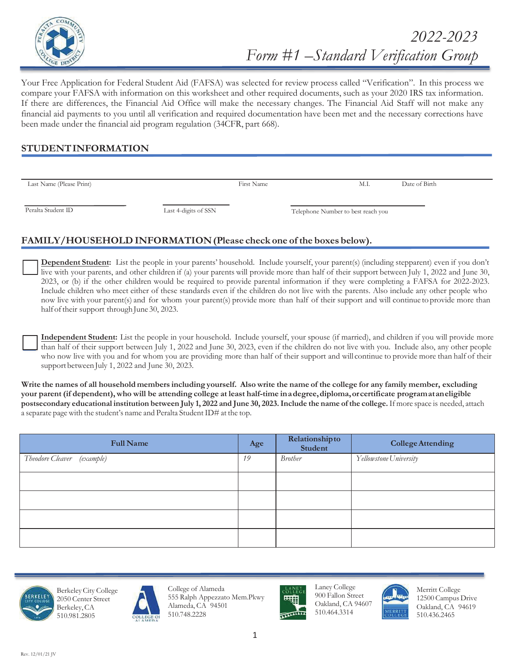

Your Free Application for Federal Student Aid (FAFSA) was selected for review process called "Verification". In this process we compare your FAFSA with information on this worksheet and other required documents, such as your 2020 IRS tax information. If there are differences, the Financial Aid Office will make the necessary changes. The Financial Aid Staff will not make any financial aid payments to you until all verification and required documentation have been met and the necessary corrections have been made under the financial aid program regulation (34CFR, part 668).

### **STUDENT INFORMATION**

| Last Name (Please Print) |                      | First Name | M.I.                               | Date of Birth |
|--------------------------|----------------------|------------|------------------------------------|---------------|
|                          |                      |            |                                    |               |
|                          |                      |            |                                    |               |
|                          |                      |            |                                    |               |
| Peralta Student ID       | Last 4-digits of SSN |            | Telephone Number to best reach you |               |
|                          |                      |            |                                    |               |

# **FAMILY/HOUSEHOLD INFORMATION (Please check one of the boxes below).**

**Dependent Student:** List the people in your parents' household. Include yourself, your parent(s) (including stepparent) even if you don't live with your parents, and other children if (a) your parents will provide more than half of their support between July 1, 2022 and June 30, 203, or (b) if the other children would be required to provide parental information if they were completing a FAFSA for 202-203. Include children who meet either of these standards even if the children do not live with the parents. Also include any other people who now live with your parent(s) and for whom your parent(s) provide more than half of their support and will continue to provide more than half of their support through June 30, 2023.

**Independent Student:** List the people in your household. Include yourself, your spouse (if married), and children if you will provide more than half of their support between July 1, 202 and June 30, 203, even if the children do not live with you. Include also, any other people who now live with you and for whom you are providing more than half of their support and will continue to provide more than half of their support between July 1, 2022 and June 30, 2023.

**Write the names of all household members including yourself. Also write the name of the college for any family member, excluding your parent (if dependent), who will be attending college at least half-time in a degree, diploma, or certificate program at an eligible postsecondary educational institution between July 1, 2022 and June 30, 2023. Include the name of the college. If more space is needed, attach** a separate page with the student's name and Peralta Student ID# at the top.

| <b>Full Name</b>              | Age | Relationshipto<br>Student | <b>College Attending</b> |
|-------------------------------|-----|---------------------------|--------------------------|
| Theodore Cleaver<br>(example) | 19  | <b>Brother</b>            | Yellowstone University   |
|                               |     |                           |                          |
|                               |     |                           |                          |
|                               |     |                           |                          |
|                               |     |                           |                          |







College of Alameda 555 Ralph Appezzato Mem.Pkwy Alameda, CA 94501 510.748.2228



Laney College 900 Fallon Street Oakland, CA 94607 510.464.3314



Merritt College 12500 Campus Drive Oakland, CA 94619 510.436.2465